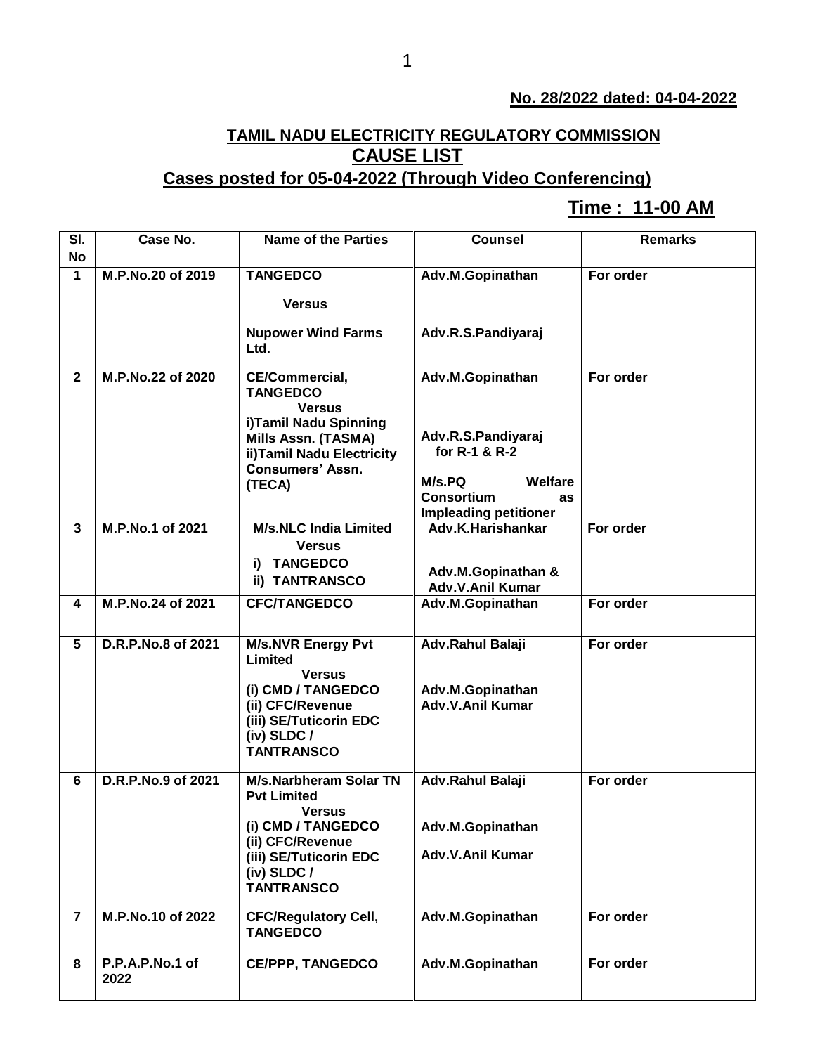## **No. 28/2022 dated: 04-04-2022**

## **TAMIL NADU ELECTRICITY REGULATORY COMMISSION CAUSE LIST**

## **Cases posted for 05-04-2022 (Through Video Conferencing)**

## **Time : 11-00 AM[**

| SI.            | Case No.           | <b>Name of the Parties</b>                          | <b>Counsel</b>                 | <b>Remarks</b> |
|----------------|--------------------|-----------------------------------------------------|--------------------------------|----------------|
| <b>No</b>      |                    |                                                     |                                |                |
| $\mathbf{1}$   | M.P.No.20 of 2019  | <b>TANGEDCO</b>                                     | Adv.M.Gopinathan               | For order      |
|                |                    | <b>Versus</b>                                       |                                |                |
|                |                    |                                                     |                                |                |
|                |                    | <b>Nupower Wind Farms</b>                           | Adv.R.S.Pandiyaraj             |                |
|                |                    | Ltd.                                                |                                |                |
| $\mathbf{2}$   | M.P.No.22 of 2020  | CE/Commercial,                                      | Adv.M.Gopinathan               | For order      |
|                |                    | <b>TANGEDCO</b>                                     |                                |                |
|                |                    | <b>Versus</b>                                       |                                |                |
|                |                    | i)Tamil Nadu Spinning                               | Adv.R.S.Pandiyaraj             |                |
|                |                    | Mills Assn. (TASMA)<br>ii)Tamil Nadu Electricity    | for R-1 & R-2                  |                |
|                |                    | <b>Consumers' Assn.</b>                             |                                |                |
|                |                    | (TECA)                                              | M/s.PQ<br>Welfare              |                |
|                |                    |                                                     | <b>Consortium</b><br><b>as</b> |                |
|                |                    |                                                     | <b>Impleading petitioner</b>   |                |
| $\mathbf{3}$   | M.P.No.1 of 2021   | <b>M/s.NLC India Limited</b>                        | Adv.K.Harishankar              | For order      |
|                |                    | <b>Versus</b>                                       |                                |                |
|                |                    | i) TANGEDCO                                         | Adv.M.Gopinathan &             |                |
|                |                    | ii) TANTRANSCO                                      | Adv.V.Anil Kumar               |                |
| 4              | M.P.No.24 of 2021  | <b>CFC/TANGEDCO</b>                                 | Adv.M.Gopinathan               | For order      |
|                |                    |                                                     |                                |                |
| 5              | D.R.P.No.8 of 2021 | <b>M/s.NVR Energy Pvt</b>                           | <b>Adv.Rahul Balaji</b>        | For order      |
|                |                    | Limited                                             |                                |                |
|                |                    | <b>Versus</b>                                       |                                |                |
|                |                    | (i) CMD / TANGEDCO                                  | Adv.M.Gopinathan               |                |
|                |                    | (ii) CFC/Revenue<br>(iii) SE/Tuticorin EDC          | <b>Adv.V.Anil Kumar</b>        |                |
|                |                    | (iv) SLDC /                                         |                                |                |
|                |                    | <b>TANTRANSCO</b>                                   |                                |                |
|                |                    |                                                     |                                |                |
| 6              | D.R.P.No.9 of 2021 | <b>M/s.Narbheram Solar TN</b><br><b>Pvt Limited</b> | Adv.Rahul Balaji               | For order      |
|                |                    | <b>Versus</b>                                       |                                |                |
|                |                    | (i) CMD / TANGEDCO                                  | Adv.M.Gopinathan               |                |
|                |                    | (ii) CFC/Revenue                                    |                                |                |
|                |                    | (iii) SE/Tuticorin EDC                              | Adv.V.Anil Kumar               |                |
|                |                    | (iv) $SLDC/$                                        |                                |                |
|                |                    | <b>TANTRANSCO</b>                                   |                                |                |
| $\overline{7}$ | M.P.No.10 of 2022  | <b>CFC/Regulatory Cell,</b>                         | Adv.M.Gopinathan               | For order      |
|                |                    | <b>TANGEDCO</b>                                     |                                |                |
|                |                    |                                                     |                                |                |
| 8              | P.P.A.P.No.1 of    | <b>CE/PPP, TANGEDCO</b>                             | Adv.M.Gopinathan               | For order      |
|                | 2022               |                                                     |                                |                |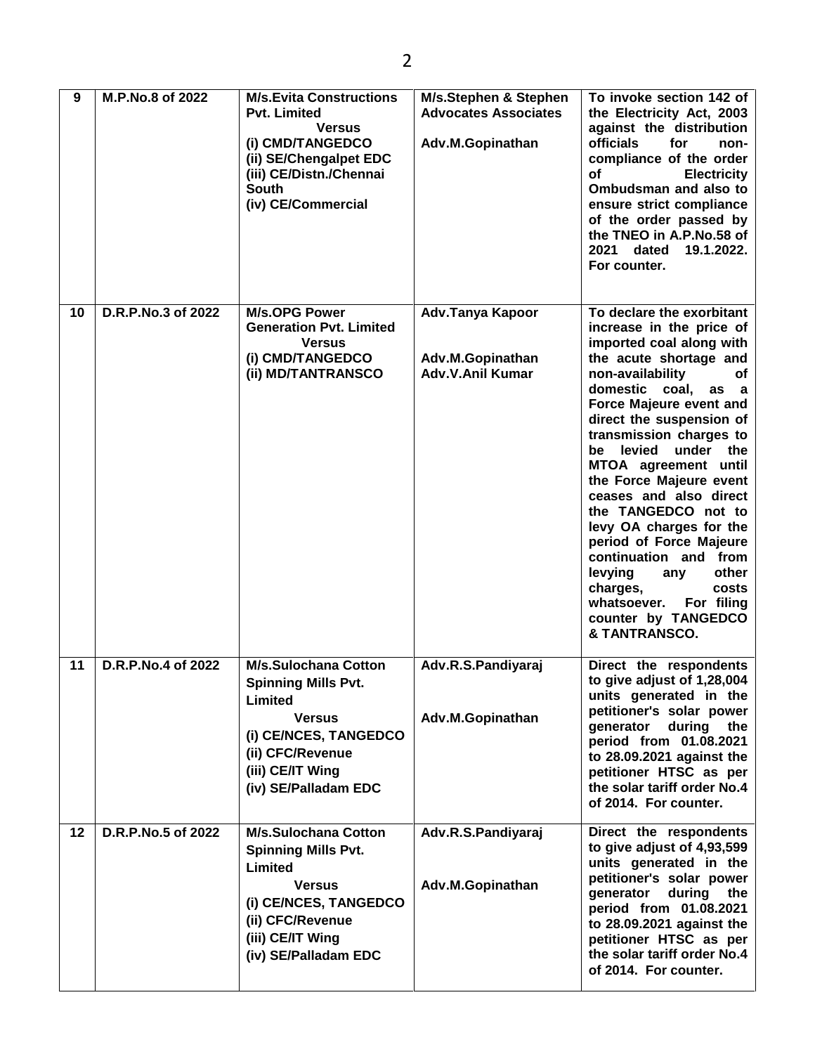| 9  | M.P.No.8 of 2022   | <b>M/s.Evita Constructions</b><br><b>Pvt. Limited</b><br><b>Versus</b><br>(i) CMD/TANGEDCO<br>(ii) SE/Chengalpet EDC<br>(iii) CE/Distn./Chennai<br><b>South</b><br>(iv) CE/Commercial | M/s.Stephen & Stephen<br><b>Advocates Associates</b><br>Adv.M.Gopinathan | To invoke section 142 of<br>the Electricity Act, 2003<br>against the distribution<br>officials<br>for<br>non-<br>compliance of the order<br><b>of</b><br><b>Electricity</b><br>Ombudsman and also to<br>ensure strict compliance<br>of the order passed by<br>the TNEO in A.P.No.58 of<br>2021 dated<br>19.1.2022.<br>For counter.                                                                                                                                                                                                                                                  |
|----|--------------------|---------------------------------------------------------------------------------------------------------------------------------------------------------------------------------------|--------------------------------------------------------------------------|-------------------------------------------------------------------------------------------------------------------------------------------------------------------------------------------------------------------------------------------------------------------------------------------------------------------------------------------------------------------------------------------------------------------------------------------------------------------------------------------------------------------------------------------------------------------------------------|
| 10 | D.R.P.No.3 of 2022 | <b>M/s.OPG Power</b><br><b>Generation Pvt. Limited</b><br><b>Versus</b><br>(i) CMD/TANGEDCO<br>(ii) MD/TANTRANSCO                                                                     | Adv.Tanya Kapoor<br>Adv.M.Gopinathan<br><b>Adv.V.Anil Kumar</b>          | To declare the exorbitant<br>increase in the price of<br>imported coal along with<br>the acute shortage and<br>non-availability<br>оf<br>domestic coal,<br>as a<br>Force Majeure event and<br>direct the suspension of<br>transmission charges to<br>be levied<br>under the<br>MTOA agreement until<br>the Force Majeure event<br>ceases and also direct<br>the TANGEDCO not to<br>levy OA charges for the<br>period of Force Majeure<br>continuation and from<br>levying<br>other<br>any<br>charges,<br>costs<br>For filing<br>whatsoever.<br>counter by TANGEDCO<br>& TANTRANSCO. |
| 11 | D.R.P.No.4 of 2022 | M/s.Sulochana Cotton<br><b>Spinning Mills Pvt.</b><br>Limited<br><b>Versus</b><br>(i) CE/NCES, TANGEDCO<br>(ii) CFC/Revenue<br>(iii) CE/IT Wing<br>(iv) SE/Palladam EDC               | Adv.R.S.Pandiyaraj<br>Adv.M.Gopinathan                                   | Direct the respondents<br>to give adjust of 1,28,004<br>units generated in the<br>petitioner's solar power<br>generator during the<br>period from 01.08.2021<br>to 28.09.2021 against the<br>petitioner HTSC as per<br>the solar tariff order No.4<br>of 2014. For counter.                                                                                                                                                                                                                                                                                                         |
| 12 | D.R.P.No.5 of 2022 | <b>M/s.Sulochana Cotton</b><br><b>Spinning Mills Pvt.</b><br>Limited<br><b>Versus</b><br>(i) CE/NCES, TANGEDCO<br>(ii) CFC/Revenue<br>(iii) CE/IT Wing<br>(iv) SE/Palladam EDC        | Adv.R.S.Pandiyaraj<br>Adv.M.Gopinathan                                   | Direct the respondents<br>to give adjust of 4,93,599<br>units generated in the<br>petitioner's solar power<br>generator during the<br>period from 01.08.2021<br>to 28.09.2021 against the<br>petitioner HTSC as per<br>the solar tariff order No.4<br>of 2014. For counter.                                                                                                                                                                                                                                                                                                         |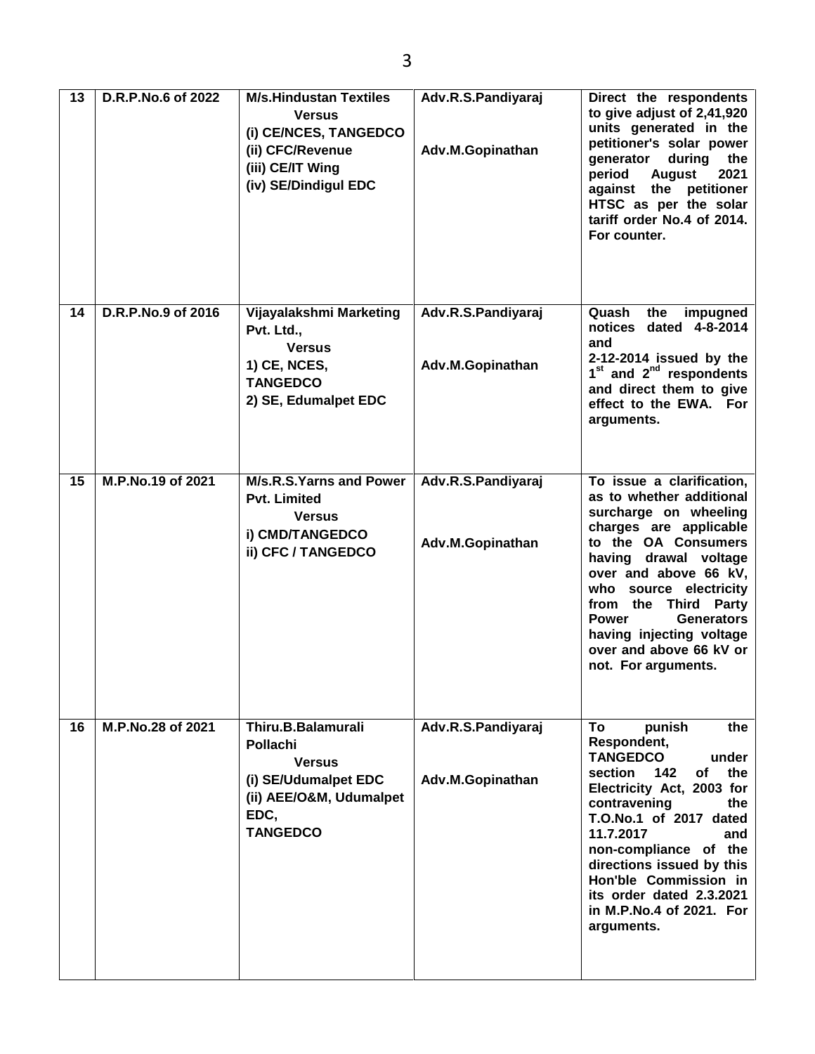| 13 | D.R.P.No.6 of 2022 | <b>M/s.Hindustan Textiles</b><br><b>Versus</b><br>(i) CE/NCES, TANGEDCO<br>(ii) CFC/Revenue<br>(iii) CE/IT Wing<br>(iv) SE/Dindigul EDC | Adv.R.S.Pandiyaraj<br>Adv.M.Gopinathan | Direct the respondents<br>to give adjust of 2,41,920<br>units generated in the<br>petitioner's solar power<br>during<br>generator<br>the<br>period<br><b>August</b><br>2021<br>against the petitioner<br>HTSC as per the solar<br>tariff order No.4 of 2014.<br>For counter.                                                                           |
|----|--------------------|-----------------------------------------------------------------------------------------------------------------------------------------|----------------------------------------|--------------------------------------------------------------------------------------------------------------------------------------------------------------------------------------------------------------------------------------------------------------------------------------------------------------------------------------------------------|
| 14 | D.R.P.No.9 of 2016 | Vijayalakshmi Marketing<br>Pvt. Ltd.,<br><b>Versus</b><br><b>1) CE, NCES,</b><br><b>TANGEDCO</b><br>2) SE, Edumalpet EDC                | Adv.R.S.Pandiyaraj<br>Adv.M.Gopinathan | Quash<br>the<br>impugned<br>notices dated 4-8-2014<br>and<br>2-12-2014 issued by the<br>$1st$ and $2nd$ respondents<br>and direct them to give<br>effect to the EWA. For<br>arguments.                                                                                                                                                                 |
| 15 | M.P.No.19 of 2021  | M/s.R.S.Yarns and Power<br><b>Pvt. Limited</b><br><b>Versus</b><br>i) CMD/TANGEDCO<br>ii) CFC / TANGEDCO                                | Adv.R.S.Pandiyaraj<br>Adv.M.Gopinathan | To issue a clarification,<br>as to whether additional<br>surcharge on wheeling<br>charges are applicable<br>to the OA Consumers<br>having drawal voltage<br>over and above 66 kV,<br>who source electricity<br>from the Third Party<br><b>Power</b><br><b>Generators</b><br>having injecting voltage<br>over and above 66 kV or<br>not. For arguments. |
| 16 | M.P.No.28 of 2021  | Thiru.B.Balamurali<br><b>Pollachi</b><br><b>Versus</b><br>(i) SE/Udumalpet EDC<br>(ii) AEE/O&M, Udumalpet<br>EDC,<br><b>TANGEDCO</b>    | Adv.R.S.Pandiyaraj<br>Adv.M.Gopinathan | To<br>punish<br>the<br>Respondent,<br><b>TANGEDCO</b><br>under<br>142<br>of<br>section<br>the<br>Electricity Act, 2003 for<br>contravening<br>the<br>T.O.No.1 of 2017 dated<br>11.7.2017<br>and<br>non-compliance of the<br>directions issued by this<br>Hon'ble Commission in<br>its order dated 2.3.2021<br>in M.P.No.4 of 2021. For<br>arguments.   |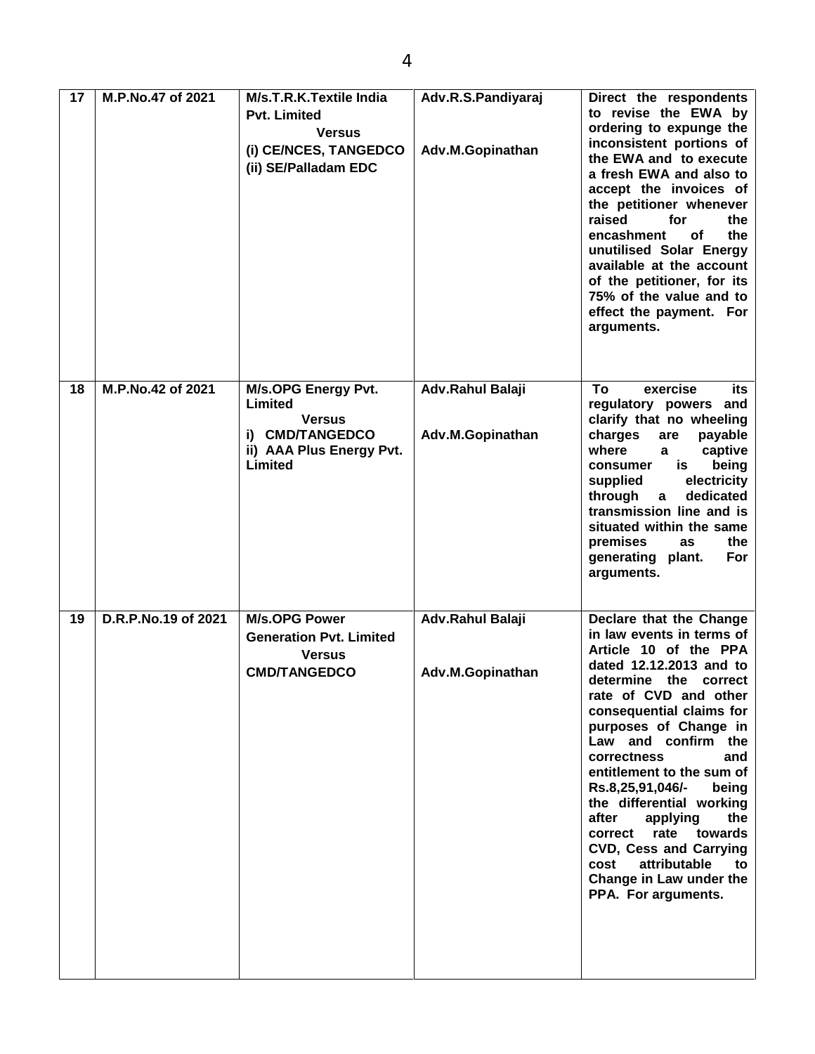| 17 | M.P.No.47 of 2021   | M/s.T.R.K.Textile India<br><b>Pvt. Limited</b><br><b>Versus</b><br>(i) CE/NCES, TANGEDCO<br>(ii) SE/Palladam EDC | Adv.R.S.Pandiyaraj<br>Adv.M.Gopinathan | Direct the respondents<br>to revise the EWA by<br>ordering to expunge the<br>inconsistent portions of<br>the EWA and to execute<br>a fresh EWA and also to<br>accept the invoices of<br>the petitioner whenever<br>raised<br>for<br>the<br>the<br>encashment<br>οf<br>unutilised Solar Energy<br>available at the account<br>of the petitioner, for its<br>75% of the value and to<br>effect the payment. For<br>arguments.                                                                                                   |
|----|---------------------|------------------------------------------------------------------------------------------------------------------|----------------------------------------|-------------------------------------------------------------------------------------------------------------------------------------------------------------------------------------------------------------------------------------------------------------------------------------------------------------------------------------------------------------------------------------------------------------------------------------------------------------------------------------------------------------------------------|
| 18 | M.P.No.42 of 2021   | <b>M/s.OPG Energy Pvt.</b><br>Limited<br><b>Versus</b><br>i) CMD/TANGEDCO<br>ii) AAA Plus Energy Pvt.<br>Limited | Adv.Rahul Balaji<br>Adv.M.Gopinathan   | To<br>exercise<br>its<br>regulatory powers and<br>clarify that no wheeling<br>charges<br>payable<br>are<br>where<br>captive<br>a<br>being<br>is<br>consumer<br>electricity<br>supplied<br>through<br>dedicated<br>$\mathbf{a}$<br>transmission line and is<br>situated within the same<br>premises<br>the<br>as<br>generating plant.<br>For<br>arguments.                                                                                                                                                                     |
| 19 | D.R.P.No.19 of 2021 | <b>M/s.OPG Power</b><br><b>Generation Pvt. Limited</b><br><b>Versus</b><br><b>CMD/TANGEDCO</b>                   | Adv.Rahul Balaji<br>Adv.M.Gopinathan   | Declare that the Change<br>in law events in terms of<br>Article 10 of the PPA<br>dated 12.12.2013 and to<br>determine the correct<br>rate of CVD and other<br>consequential claims for<br>purposes of Change in<br>Law and confirm the<br>correctness<br>and<br>entitlement to the sum of<br>Rs.8,25,91,046/-<br>being<br>the differential working<br>after<br>applying<br>the<br>rate<br>towards<br>correct<br><b>CVD, Cess and Carrying</b><br>attributable<br>cost<br>to<br>Change in Law under the<br>PPA. For arguments. |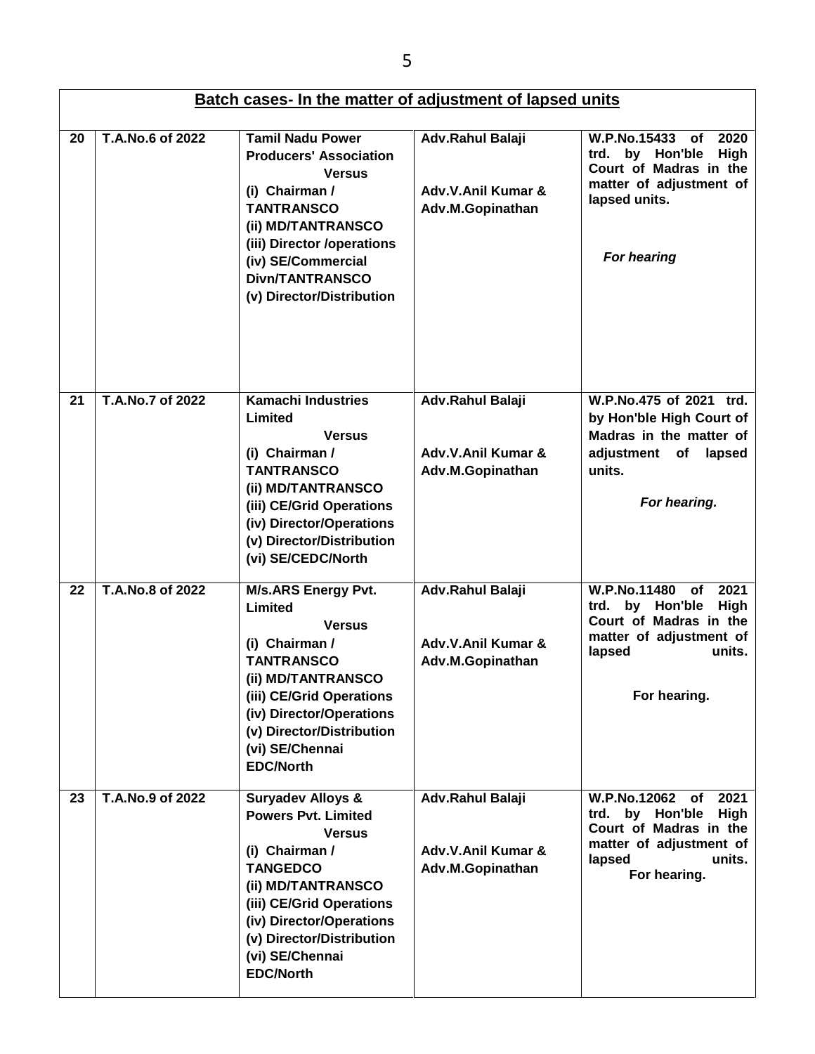| Batch cases- In the matter of adjustment of lapsed units |                  |                                                                                                                                                                                                                                                                    |                                                            |                                                                                                                                                          |
|----------------------------------------------------------|------------------|--------------------------------------------------------------------------------------------------------------------------------------------------------------------------------------------------------------------------------------------------------------------|------------------------------------------------------------|----------------------------------------------------------------------------------------------------------------------------------------------------------|
| 20                                                       | T.A.No.6 of 2022 | <b>Tamil Nadu Power</b><br><b>Producers' Association</b><br><b>Versus</b><br>(i) Chairman /<br><b>TANTRANSCO</b><br>(ii) MD/TANTRANSCO<br>(iii) Director /operations<br>(iv) SE/Commercial<br><b>Divn/TANTRANSCO</b><br>(v) Director/Distribution                  | Adv.Rahul Balaji<br>Adv.V.Anil Kumar &<br>Adv.M.Gopinathan | <b>W.P.No.15433</b><br>2020<br><b>of</b><br>trd. by Hon'ble<br>High<br>Court of Madras in the<br>matter of adjustment of<br>lapsed units.<br>For hearing |
| 21                                                       | T.A.No.7 of 2022 | <b>Kamachi Industries</b><br>Limited<br><b>Versus</b><br>(i) Chairman /<br><b>TANTRANSCO</b><br>(ii) MD/TANTRANSCO<br>(iii) CE/Grid Operations<br>(iv) Director/Operations<br>(v) Director/Distribution<br>(vi) SE/CEDC/North                                      | Adv.Rahul Balaji<br>Adv.V.Anil Kumar &<br>Adv.M.Gopinathan | W.P.No.475 of 2021 trd.<br>by Hon'ble High Court of<br>Madras in the matter of<br>adjustment of<br>lapsed<br>units.<br>For hearing.                      |
| 22                                                       | T.A.No.8 of 2022 | <b>M/s.ARS Energy Pvt.</b><br>Limited<br><b>Versus</b><br>(i) Chairman /<br><b>TANTRANSCO</b><br>(ii) MD/TANTRANSCO<br>(iii) CE/Grid Operations<br>(iv) Director/Operations<br>(v) Director/Distribution<br>(vi) SE/Chennai<br><b>EDC/North</b>                    | Adv.Rahul Balaji<br>Adv.V.Anil Kumar &<br>Adv.M.Gopinathan | W.P.No.11480<br><b>of</b><br>2021<br>High<br>by Hon'ble<br>trd.<br>Court of Madras in the<br>matter of adjustment of<br>lapsed<br>units.<br>For hearing. |
| 23                                                       | T.A.No.9 of 2022 | <b>Suryadev Alloys &amp;</b><br><b>Powers Pvt. Limited</b><br><b>Versus</b><br>(i) Chairman /<br><b>TANGEDCO</b><br>(ii) MD/TANTRANSCO<br>(iii) CE/Grid Operations<br>(iv) Director/Operations<br>(v) Director/Distribution<br>(vi) SE/Chennai<br><b>EDC/North</b> | Adv.Rahul Balaji<br>Adv.V.Anil Kumar &<br>Adv.M.Gopinathan | W.P.No.12062 of<br>2021<br>by Hon'ble<br>High<br>trd.<br>Court of Madras in the<br>matter of adjustment of<br>units.<br>lapsed<br>For hearing.           |